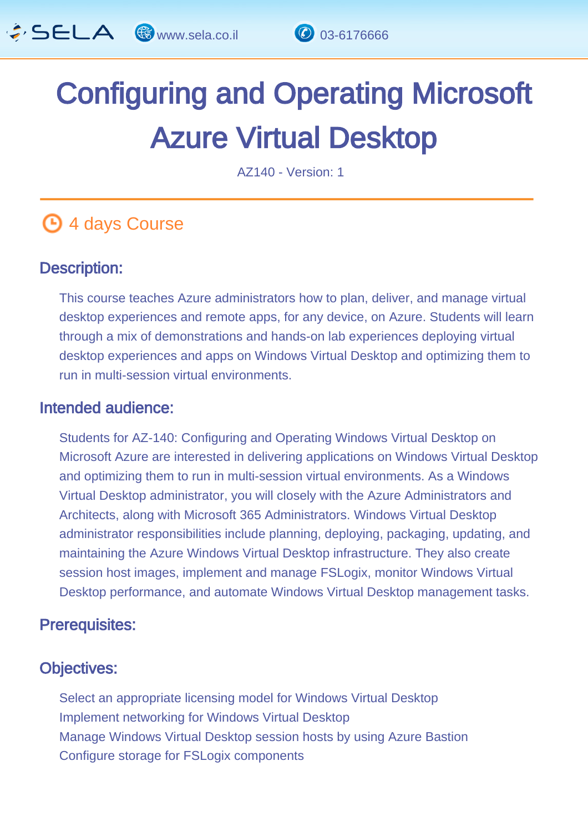

# Configuring and Operating Microsoft Azure Virtual Desktop

AZ140 - Version: 1

# **4 days Course**

#### Description: Ĩ

This course teaches Azure administrators how to plan, deliver, and manage virtual desktop experiences and remote apps, for any device, on Azure. Students will learn through a mix of demonstrations and hands-on lab experiences deploying virtual desktop experiences and apps on Windows Virtual Desktop and optimizing them to run in multi-session virtual environments.

#### Intended audience: ľ

Students for AZ-140: Configuring and Operating Windows Virtual Desktop on Microsoft Azure are interested in delivering applications on Windows Virtual Desktop and optimizing them to run in multi-session virtual environments. As a Windows Virtual Desktop administrator, you will closely with the Azure Administrators and Architects, along with Microsoft 365 Administrators. Windows Virtual Desktop administrator responsibilities include planning, deploying, packaging, updating, and maintaining the Azure Windows Virtual Desktop infrastructure. They also create session host images, implement and manage FSLogix, monitor Windows Virtual Desktop performance, and automate Windows Virtual Desktop management tasks.

#### Prerequisites: Ï

#### Objectives: Ĭ

Select an appropriate licensing model for Windows Virtual Desktop Implement networking for Windows Virtual Desktop Manage Windows Virtual Desktop session hosts by using Azure Bastion Configure storage for FSLogix components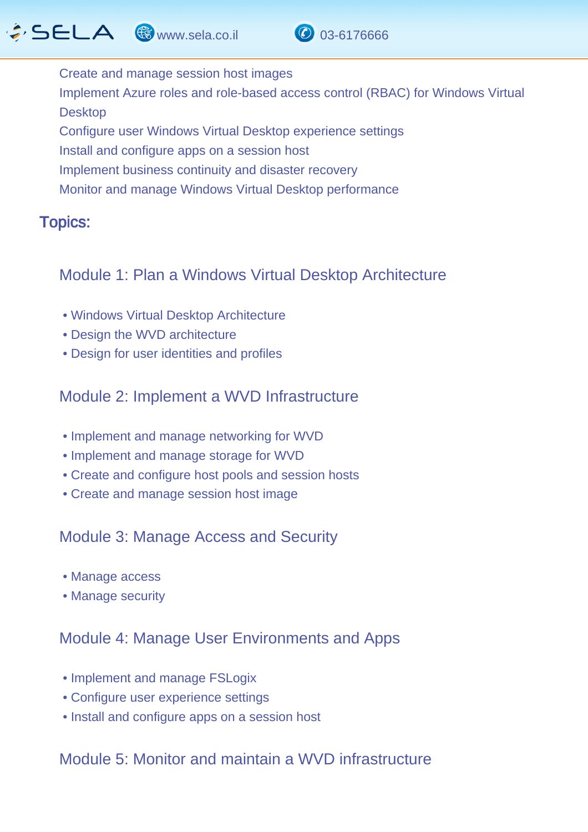# $\hat{G}$  SELA  $\circledast$  www.sela.co.il  $\circledast$  03-6176666



Create and manage session host images Implement Azure roles and role-based access control (RBAC) for Windows Virtual Desktop Configure user Windows Virtual Desktop experience settings Install and configure apps on a session host Implement business continuity and disaster recovery Monitor and manage Windows Virtual Desktop performance

#### Topics: J.

### Module 1: Plan a Windows Virtual Desktop Architecture

- Windows Virtual Desktop Architecture
- Design the WVD architecture
- Design for user identities and profiles

# Module 2: Implement a WVD Infrastructure

- Implement and manage networking for WVD
- Implement and manage storage for WVD
- Create and configure host pools and session hosts
- Create and manage session host image

# Module 3: Manage Access and Security

- Manage access
- Manage security

### Module 4: Manage User Environments and Apps

- Implement and manage FSLogix
- Configure user experience settings
- Install and configure apps on a session host

# Module 5: Monitor and maintain a WVD infrastructure